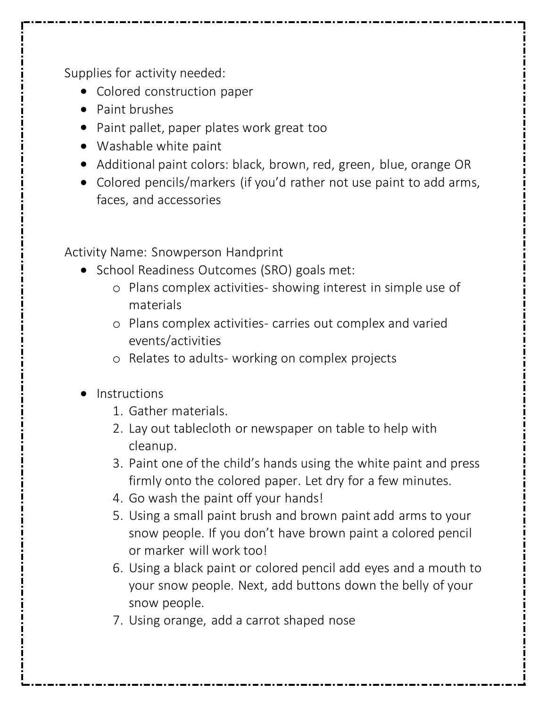Supplies for activity needed:

- Colored construction paper
- Paint brushes
- Paint pallet, paper plates work great too
- Washable white paint
- Additional paint colors: black, brown, red, green, blue, orange OR
- Colored pencils/markers (if you'd rather not use paint to add arms, faces, and accessories

Activity Name: Snowperson Handprint

- School Readiness Outcomes (SRO) goals met:
	- o Plans complex activities- showing interest in simple use of materials
	- o Plans complex activities- carries out complex and varied events/activities
	- o Relates to adults- working on complex projects
- Instructions
	- 1. Gather materials.
	- 2. Lay out tablecloth or newspaper on table to help with cleanup.
	- 3. Paint one of the child's hands using the white paint and press firmly onto the colored paper. Let dry for a few minutes.
	- 4. Go wash the paint off your hands!
	- 5. Using a small paint brush and brown paint add arms to your snow people. If you don't have brown paint a colored pencil or marker will work too!
	- 6. Using a black paint or colored pencil add eyes and a mouth to your snow people. Next, add buttons down the belly of your snow people.
	- 7. Using orange, add a carrot shaped nose